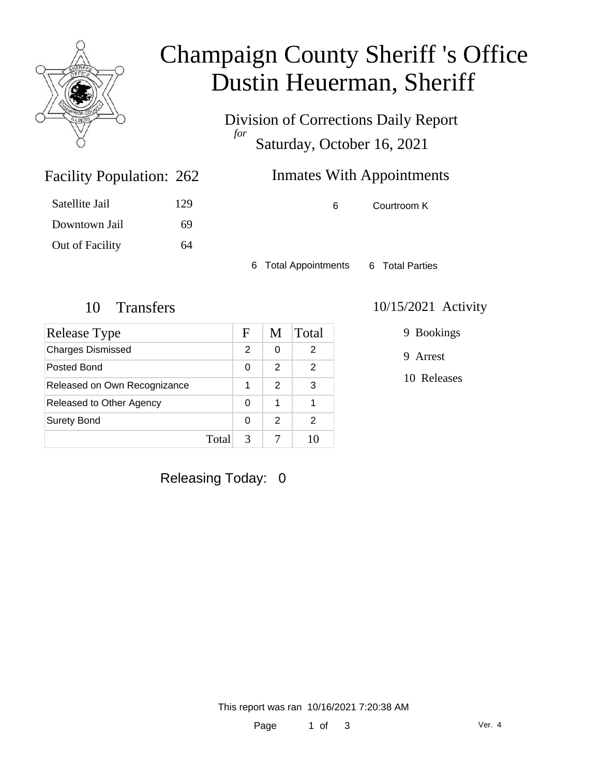

## Champaign County Sheriff 's Office Dustin Heuerman, Sheriff

Division of Corrections Daily Report *for* Saturday, October 16, 2021

### Inmates With Appointments

| Satellite Jail  | 129 |
|-----------------|-----|
| Downtown Jail   | 69  |
| Out of Facility | 64  |

Facility Population: 262

6 Courtroom K

6 Total Appointments 6 Total Parties

| Release Type                 |       | F             | M             | Total |
|------------------------------|-------|---------------|---------------|-------|
| <b>Charges Dismissed</b>     |       | $\mathcal{P}$ | 0             | 2     |
| Posted Bond                  |       | 0             | 2             | 2     |
| Released on Own Recognizance |       |               | $\mathcal{P}$ | 3     |
| Released to Other Agency     |       | 0             | 1             |       |
| <b>Surety Bond</b>           |       | O             | 2             | 2     |
|                              | Total | 3             |               |       |

#### 10 Transfers 10/15/2021 Activity

9 Bookings

9 Arrest

10 Releases

Releasing Today: 0

This report was ran 10/16/2021 7:20:38 AM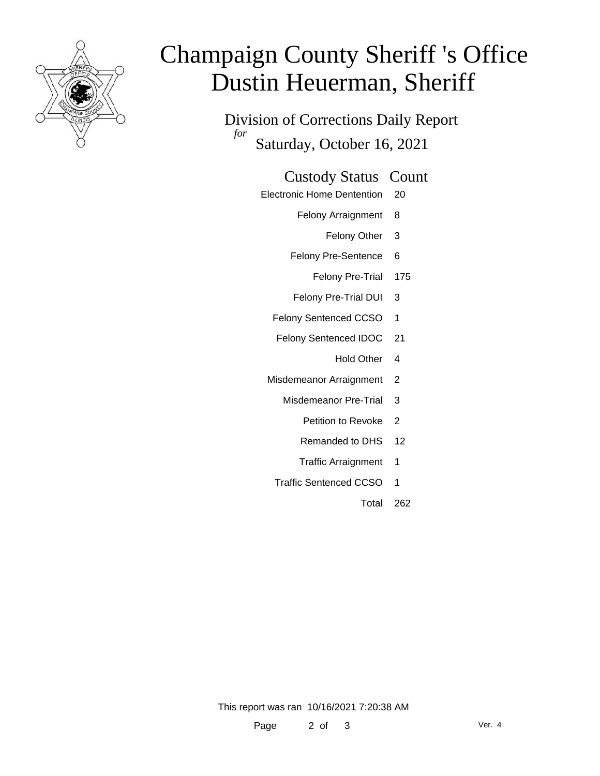

# Champaign County Sheriff 's Office Dustin Heuerman, Sheriff

Division of Corrections Daily Report *for* Saturday, October 16, 2021

#### Custody Status Count

- Electronic Home Dentention 20
	- Felony Arraignment 8
		- Felony Other 3
	- Felony Pre-Sentence 6
		- Felony Pre-Trial 175
	- Felony Pre-Trial DUI 3
	- Felony Sentenced CCSO 1
	- Felony Sentenced IDOC 21
		- Hold Other 4
	- Misdemeanor Arraignment 2
		- Misdemeanor Pre-Trial 3
			- Petition to Revoke 2
			- Remanded to DHS 12
			- Traffic Arraignment 1
		- Traffic Sentenced CCSO 1
			- Total 262

This report was ran 10/16/2021 7:20:38 AM